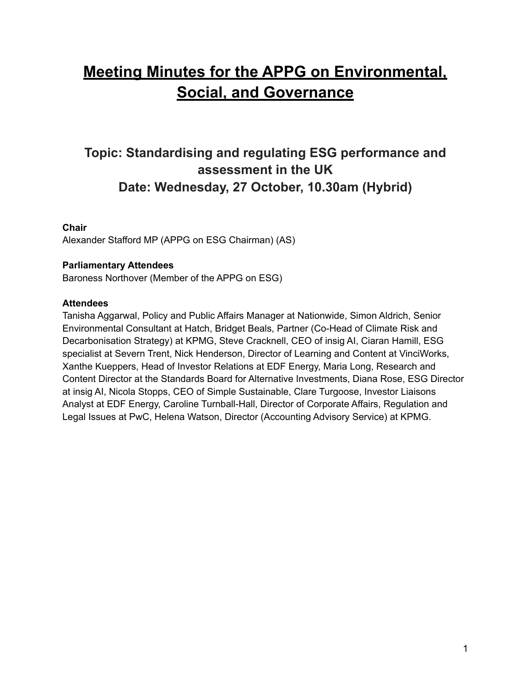# **Meeting Minutes for the APPG on Environmental, Social, and Governance**

# **Topic: Standardising and regulating ESG performance and assessment in the UK Date: Wednesday, 27 October, 10.30am (Hybrid)**

# **Chair**

Alexander Stafford MP (APPG on ESG Chairman) (AS)

# **Parliamentary Attendees**

Baroness Northover (Member of the APPG on ESG)

#### **Attendees**

Tanisha Aggarwal, Policy and Public Affairs Manager at Nationwide, Simon Aldrich, Senior Environmental Consultant at Hatch, Bridget Beals, Partner (Co-Head of Climate Risk and Decarbonisation Strategy) at KPMG, Steve Cracknell, CEO of insig AI, Ciaran Hamill, ESG specialist at Severn Trent, Nick Henderson, Director of Learning and Content at VinciWorks, Xanthe Kueppers, Head of Investor Relations at EDF Energy, Maria Long, Research and Content Director at the Standards Board for Alternative Investments, Diana Rose, ESG Director at insig AI, Nicola Stopps, CEO of Simple Sustainable, Clare Turgoose, Investor Liaisons Analyst at EDF Energy, Caroline Turnball-Hall, Director of Corporate Affairs, Regulation and Legal Issues at PwC, Helena Watson, Director (Accounting Advisory Service) at KPMG.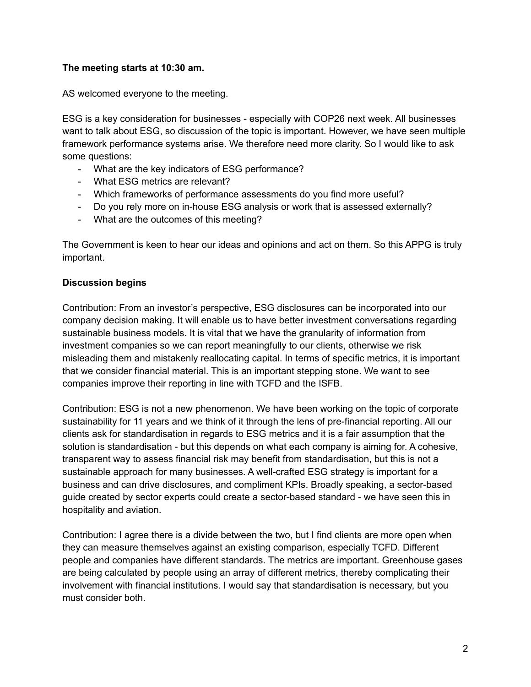# **The meeting starts at 10:30 am.**

AS welcomed everyone to the meeting.

ESG is a key consideration for businesses - especially with COP26 next week. All businesses want to talk about ESG, so discussion of the topic is important. However, we have seen multiple framework performance systems arise. We therefore need more clarity. So I would like to ask some questions:

- What are the key indicators of ESG performance?
- What ESG metrics are relevant?
- Which frameworks of performance assessments do you find more useful?
- Do you rely more on in-house ESG analysis or work that is assessed externally?
- What are the outcomes of this meeting?

The Government is keen to hear our ideas and opinions and act on them. So this APPG is truly important.

# **Discussion begins**

Contribution: From an investor's perspective, ESG disclosures can be incorporated into our company decision making. It will enable us to have better investment conversations regarding sustainable business models. It is vital that we have the granularity of information from investment companies so we can report meaningfully to our clients, otherwise we risk misleading them and mistakenly reallocating capital. In terms of specific metrics, it is important that we consider financial material. This is an important stepping stone. We want to see companies improve their reporting in line with TCFD and the ISFB.

Contribution: ESG is not a new phenomenon. We have been working on the topic of corporate sustainability for 11 years and we think of it through the lens of pre-financial reporting. All our clients ask for standardisation in regards to ESG metrics and it is a fair assumption that the solution is standardisation - but this depends on what each company is aiming for. A cohesive, transparent way to assess financial risk may benefit from standardisation, but this is not a sustainable approach for many businesses. A well-crafted ESG strategy is important for a business and can drive disclosures, and compliment KPIs. Broadly speaking, a sector-based guide created by sector experts could create a sector-based standard - we have seen this in hospitality and aviation.

Contribution: I agree there is a divide between the two, but I find clients are more open when they can measure themselves against an existing comparison, especially TCFD. Different people and companies have different standards. The metrics are important. Greenhouse gases are being calculated by people using an array of different metrics, thereby complicating their involvement with financial institutions. I would say that standardisation is necessary, but you must consider both.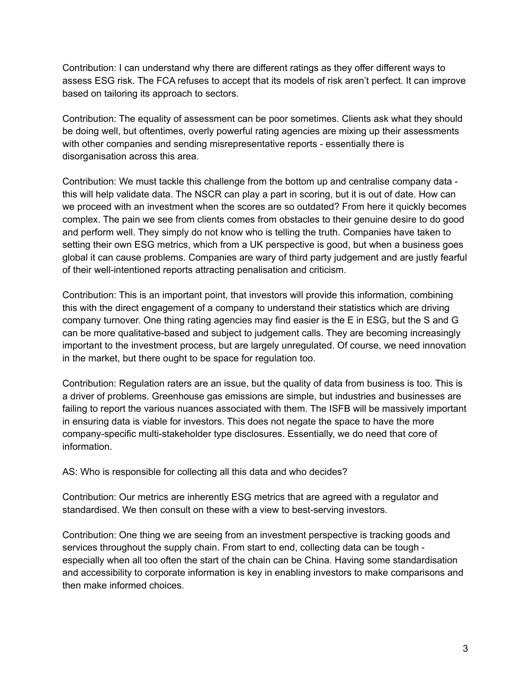Contribution: I can understand why there are different ratings as they offer different ways to assess ESG risk. The FCA refuses to accept that its models of risk aren't perfect. It can improve based on tailoring its approach to sectors.

Contribution: The equality of assessment can be poor sometimes. Clients ask what they should be doing well, but oftentimes, overly powerful rating agencies are mixing up their assessments with other companies and sending misrepresentative reports - essentially there is disorganisation across this area.

Contribution: We must tackle this challenge from the bottom up and centralise company data this will help validate data. The NSCR can play a part in scoring, but it is out of date. How can we proceed with an investment when the scores are so outdated? From here it quickly becomes complex. The pain we see from clients comes from obstacles to their genuine desire to do good and perform well. They simply do not know who is telling the truth. Companies have taken to setting their own ESG metrics, which from a UK perspective is good, but when a business goes global it can cause problems. Companies are wary of third party judgement and are justly fearful of their well-intentioned reports attracting penalisation and criticism.

Contribution: This is an important point, that investors will provide this information, combining this with the direct engagement of a company to understand their statistics which are driving company turnover. One thing rating agencies may find easier is the E in ESG, but the S and G can be more qualitative-based and subject to judgement calls. They are becoming increasingly important to the investment process, but are largely unregulated. Of course, we need innovation in the market, but there ought to be space for regulation too.

Contribution: Regulation raters are an issue, but the quality of data from business is too. This is a driver of problems. Greenhouse gas emissions are simple, but industries and businesses are failing to report the various nuances associated with them. The ISFB will be massively important in ensuring data is viable for investors. This does not negate the space to have the more company-specific multi-stakeholder type disclosures. Essentially, we do need that core of information.

AS: Who is responsible for collecting all this data and who decides?

Contribution: Our metrics are inherently ESG metrics that are agreed with a regulator and standardised. We then consult on these with a view to best-serving investors.

Contribution: One thing we are seeing from an investment perspective is tracking goods and services throughout the supply chain. From start to end, collecting data can be tough especially when all too often the start of the chain can be China. Having some standardisation and accessibility to corporate information is key in enabling investors to make comparisons and then make informed choices.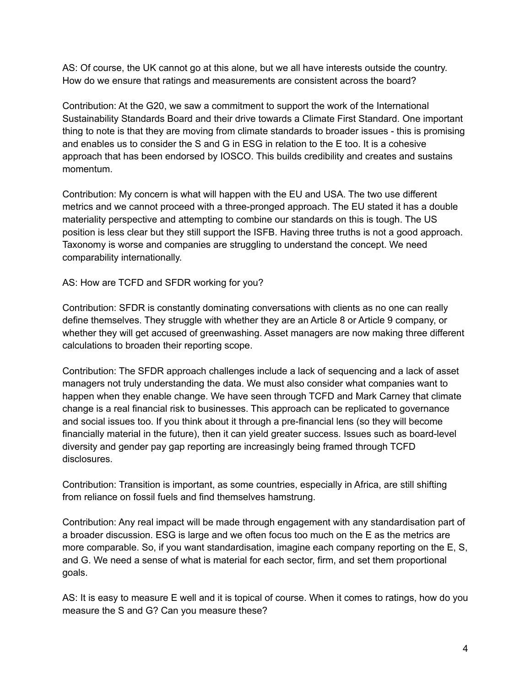AS: Of course, the UK cannot go at this alone, but we all have interests outside the country. How do we ensure that ratings and measurements are consistent across the board?

Contribution: At the G20, we saw a commitment to support the work of the International Sustainability Standards Board and their drive towards a Climate First Standard. One important thing to note is that they are moving from climate standards to broader issues - this is promising and enables us to consider the S and G in ESG in relation to the E too. It is a cohesive approach that has been endorsed by IOSCO. This builds credibility and creates and sustains momentum.

Contribution: My concern is what will happen with the EU and USA. The two use different metrics and we cannot proceed with a three-pronged approach. The EU stated it has a double materiality perspective and attempting to combine our standards on this is tough. The US position is less clear but they still support the ISFB. Having three truths is not a good approach. Taxonomy is worse and companies are struggling to understand the concept. We need comparability internationally.

AS: How are TCFD and SFDR working for you?

Contribution: SFDR is constantly dominating conversations with clients as no one can really define themselves. They struggle with whether they are an Article 8 or Article 9 company, or whether they will get accused of greenwashing. Asset managers are now making three different calculations to broaden their reporting scope.

Contribution: The SFDR approach challenges include a lack of sequencing and a lack of asset managers not truly understanding the data. We must also consider what companies want to happen when they enable change. We have seen through TCFD and Mark Carney that climate change is a real financial risk to businesses. This approach can be replicated to governance and social issues too. If you think about it through a pre-financial lens (so they will become financially material in the future), then it can yield greater success. Issues such as board-level diversity and gender pay gap reporting are increasingly being framed through TCFD disclosures.

Contribution: Transition is important, as some countries, especially in Africa, are still shifting from reliance on fossil fuels and find themselves hamstrung.

Contribution: Any real impact will be made through engagement with any standardisation part of a broader discussion. ESG is large and we often focus too much on the E as the metrics are more comparable. So, if you want standardisation, imagine each company reporting on the E, S, and G. We need a sense of what is material for each sector, firm, and set them proportional goals.

AS: It is easy to measure E well and it is topical of course. When it comes to ratings, how do you measure the S and G? Can you measure these?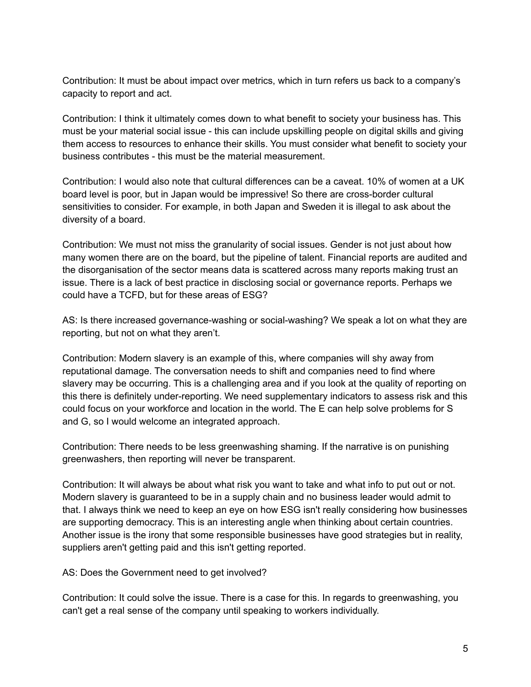Contribution: It must be about impact over metrics, which in turn refers us back to a company's capacity to report and act.

Contribution: I think it ultimately comes down to what benefit to society your business has. This must be your material social issue - this can include upskilling people on digital skills and giving them access to resources to enhance their skills. You must consider what benefit to society your business contributes - this must be the material measurement.

Contribution: I would also note that cultural differences can be a caveat. 10% of women at a UK board level is poor, but in Japan would be impressive! So there are cross-border cultural sensitivities to consider. For example, in both Japan and Sweden it is illegal to ask about the diversity of a board.

Contribution: We must not miss the granularity of social issues. Gender is not just about how many women there are on the board, but the pipeline of talent. Financial reports are audited and the disorganisation of the sector means data is scattered across many reports making trust an issue. There is a lack of best practice in disclosing social or governance reports. Perhaps we could have a TCFD, but for these areas of ESG?

AS: Is there increased governance-washing or social-washing? We speak a lot on what they are reporting, but not on what they aren't.

Contribution: Modern slavery is an example of this, where companies will shy away from reputational damage. The conversation needs to shift and companies need to find where slavery may be occurring. This is a challenging area and if you look at the quality of reporting on this there is definitely under-reporting. We need supplementary indicators to assess risk and this could focus on your workforce and location in the world. The E can help solve problems for S and G, so I would welcome an integrated approach.

Contribution: There needs to be less greenwashing shaming. If the narrative is on punishing greenwashers, then reporting will never be transparent.

Contribution: It will always be about what risk you want to take and what info to put out or not. Modern slavery is guaranteed to be in a supply chain and no business leader would admit to that. I always think we need to keep an eye on how ESG isn't really considering how businesses are supporting democracy. This is an interesting angle when thinking about certain countries. Another issue is the irony that some responsible businesses have good strategies but in reality, suppliers aren't getting paid and this isn't getting reported.

AS: Does the Government need to get involved?

Contribution: It could solve the issue. There is a case for this. In regards to greenwashing, you can't get a real sense of the company until speaking to workers individually.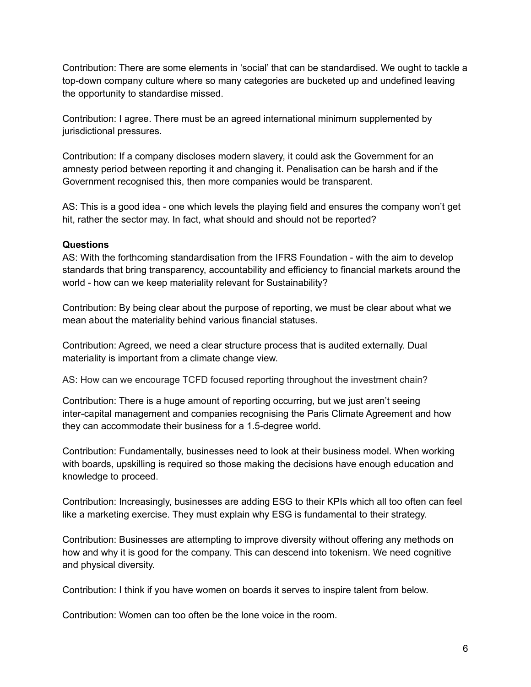Contribution: There are some elements in 'social' that can be standardised. We ought to tackle a top-down company culture where so many categories are bucketed up and undefined leaving the opportunity to standardise missed.

Contribution: I agree. There must be an agreed international minimum supplemented by jurisdictional pressures.

Contribution: If a company discloses modern slavery, it could ask the Government for an amnesty period between reporting it and changing it. Penalisation can be harsh and if the Government recognised this, then more companies would be transparent.

AS: This is a good idea - one which levels the playing field and ensures the company won't get hit, rather the sector may. In fact, what should and should not be reported?

#### **Questions**

AS: With the forthcoming standardisation from the IFRS Foundation - with the aim to develop standards that bring transparency, accountability and efficiency to financial markets around the world - how can we keep materiality relevant for Sustainability?

Contribution: By being clear about the purpose of reporting, we must be clear about what we mean about the materiality behind various financial statuses.

Contribution: Agreed, we need a clear structure process that is audited externally. Dual materiality is important from a climate change view.

AS: How can we encourage TCFD focused reporting throughout the investment chain?

Contribution: There is a huge amount of reporting occurring, but we just aren't seeing inter-capital management and companies recognising the Paris Climate Agreement and how they can accommodate their business for a 1.5-degree world.

Contribution: Fundamentally, businesses need to look at their business model. When working with boards, upskilling is required so those making the decisions have enough education and knowledge to proceed.

Contribution: Increasingly, businesses are adding ESG to their KPIs which all too often can feel like a marketing exercise. They must explain why ESG is fundamental to their strategy.

Contribution: Businesses are attempting to improve diversity without offering any methods on how and why it is good for the company. This can descend into tokenism. We need cognitive and physical diversity.

Contribution: I think if you have women on boards it serves to inspire talent from below.

Contribution: Women can too often be the lone voice in the room.